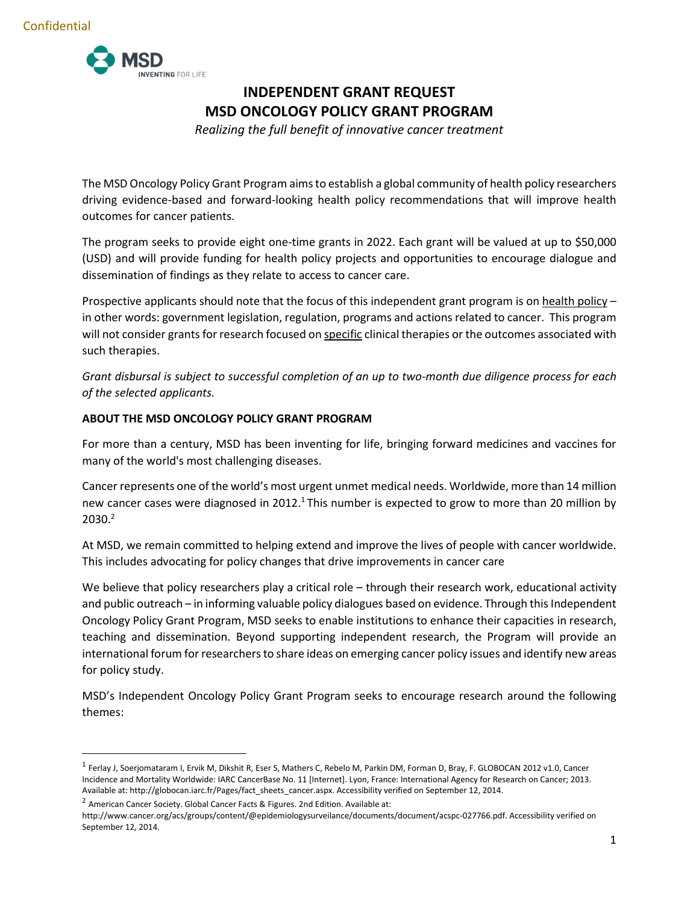

# **INDEPENDENT GRANT REQUEST MSD ONCOLOGY POLICY GRANT PROGRAM**

*Realizing the full benefit of innovative cancer treatment*

The MSD Oncology Policy Grant Program aims to establish a global community of health policy researchers driving evidence-based and forward-looking health policy recommendations that will improve health outcomes for cancer patients.

The program seeks to provide eight one-time grants in 2022. Each grant will be valued at up to \$50,000 (USD) and will provide funding for health policy projects and opportunities to encourage dialogue and dissemination of findings as they relate to access to cancer care.

Prospective applicants should note that the focus of this independent grant program is on health policy – in other words: government legislation, regulation, programs and actions related to cancer. This program will not consider grants for research focused on specific clinical therapies or the outcomes associated with such therapies.

*Grant disbursal is subject to successful completion of an up to two-month due diligence process for each of the selected applicants.* 

## **ABOUT THE MSD ONCOLOGY POLICY GRANT PROGRAM**

For more than a century, MSD has been inventing for life, bringing forward medicines and vaccines for many of the world's most challenging diseases.

Cancer represents one of the world's most urgent unmet medical needs. Worldwide, more than 14 million new cancer cases were diagnosed in 2012.<sup>1</sup> This number is expected to grow to more than 20 million by 2030. 2

At MSD, we remain committed to helping extend and improve the lives of people with cancer worldwide. This includes advocating for policy changes that drive improvements in cancer care

We believe that policy researchers play a critical role – through their research work, educational activity and public outreach – in informing valuable policy dialogues based on evidence. Through this Independent Oncology Policy Grant Program, MSD seeks to enable institutions to enhance their capacities in research, teaching and dissemination. Beyond supporting independent research, the Program will provide an international forum for researchers to share ideas on emerging cancer policy issues and identify new areas for policy study.

MSD's Independent Oncology Policy Grant Program seeks to encourage research around the following themes:

<sup>1</sup> Ferlay J, Soerjomataram I, Ervik M, Dikshit R, Eser S, Mathers C, Rebelo M, Parkin DM, Forman D, Bray, F. GLOBOCAN 2012 v1.0, Cancer Incidence and Mortality Worldwide: IARC CancerBase No. 11 [Internet]. Lyon, France: International Agency for Research on Cancer; 2013. Available at: http://globocan.iarc.fr/Pages/fact\_sheets\_cancer.aspx. Accessibility verified on September 12, 2014.

 $2$  American Cancer Society. Global Cancer Facts & Figures. 2nd Edition. Available at:

http://www.cancer.org/acs/groups/content/@epidemiologysurveilance/documents/document/acspc-027766.pdf. Accessibility verified on September 12, 2014.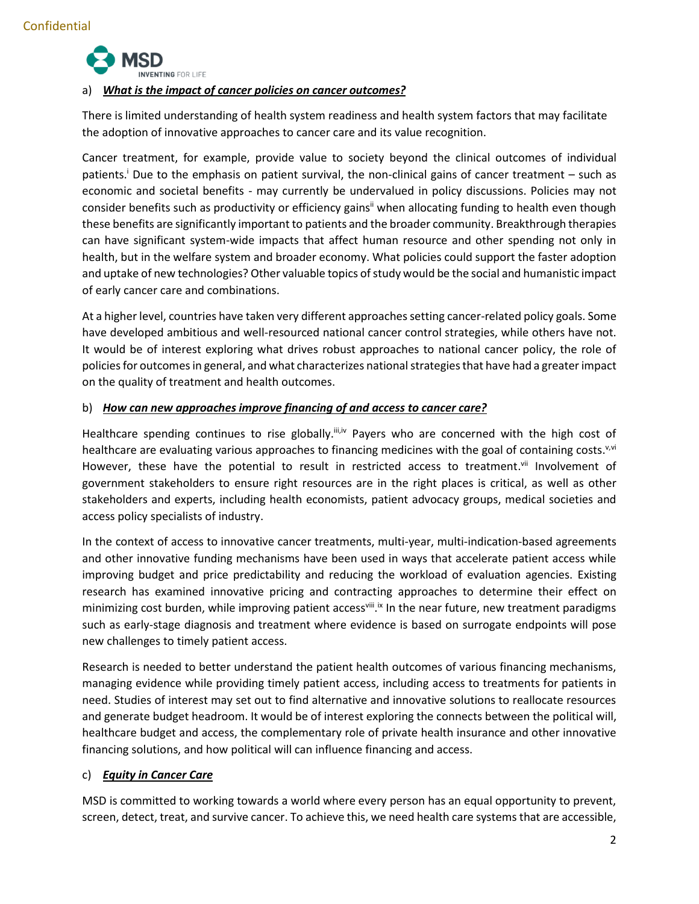

## a) *What is the impact of cancer policies on cancer outcomes?*

There is limited understanding of health system readiness and health system factors that may facilitate the adoption of innovative approaches to cancer care and its value recognition.

Cancer treatment, for example, provide value to society beyond the clinical outcomes of individual patients. <sup>i</sup> Due to the emphasis on patient survival, the non-clinical gains of cancer treatment – such as economic and societal benefits - may currently be undervalued in policy discussions. Policies may not consider benefits such as productivity or efficiency gains<sup>ii</sup> when allocating funding to health even though these benefits are significantly important to patients and the broader community. Breakthrough therapies can have significant system-wide impacts that affect human resource and other spending not only in health, but in the welfare system and broader economy. What policies could support the faster adoption and uptake of new technologies? Other valuable topics of study would be the social and humanistic impact of early cancer care and combinations.

At a higher level, countries have taken very different approaches setting cancer-related policy goals. Some have developed ambitious and well-resourced national cancer control strategies, while others have not. It would be of interest exploring what drives robust approaches to national cancer policy, the role of policies for outcomes in general, and what characterizes national strategies that have had a greater impact on the quality of treatment and health outcomes.

## b) *How can new approaches improve financing of and access to cancer care?*

Healthcare spending continues to rise globally.<sup>iii,iv</sup> Payers who are concerned with the high cost of healthcare are evaluating various approaches to financing medicines with the goal of containing costs.<sup>v,vi</sup> However, these have the potential to result in restricted access to treatment.vii Involvement of government stakeholders to ensure right resources are in the right places is critical, as well as other stakeholders and experts, including health economists, patient advocacy groups, medical societies and access policy specialists of industry.

In the context of access to innovative cancer treatments, multi-year, multi-indication-based agreements and other innovative funding mechanisms have been used in ways that accelerate patient access while improving budget and price predictability and reducing the workload of evaluation agencies. Existing research has examined innovative pricing and contracting approaches to determine their effect on minimizing cost burden, while improving patient access<sup>viii</sup>.<sup>ix</sup> In the near future, new treatment paradigms such as early-stage diagnosis and treatment where evidence is based on surrogate endpoints will pose new challenges to timely patient access.

Research is needed to better understand the patient health outcomes of various financing mechanisms, managing evidence while providing timely patient access, including access to treatments for patients in need. Studies of interest may set out to find alternative and innovative solutions to reallocate resources and generate budget headroom. It would be of interest exploring the connects between the political will, healthcare budget and access, the complementary role of private health insurance and other innovative financing solutions, and how political will can influence financing and access.

## c) *Equity in Cancer Care*

MSD is committed to working towards a world where every person has an equal opportunity to prevent, screen, detect, treat, and survive cancer. To achieve this, we need health care systems that are accessible,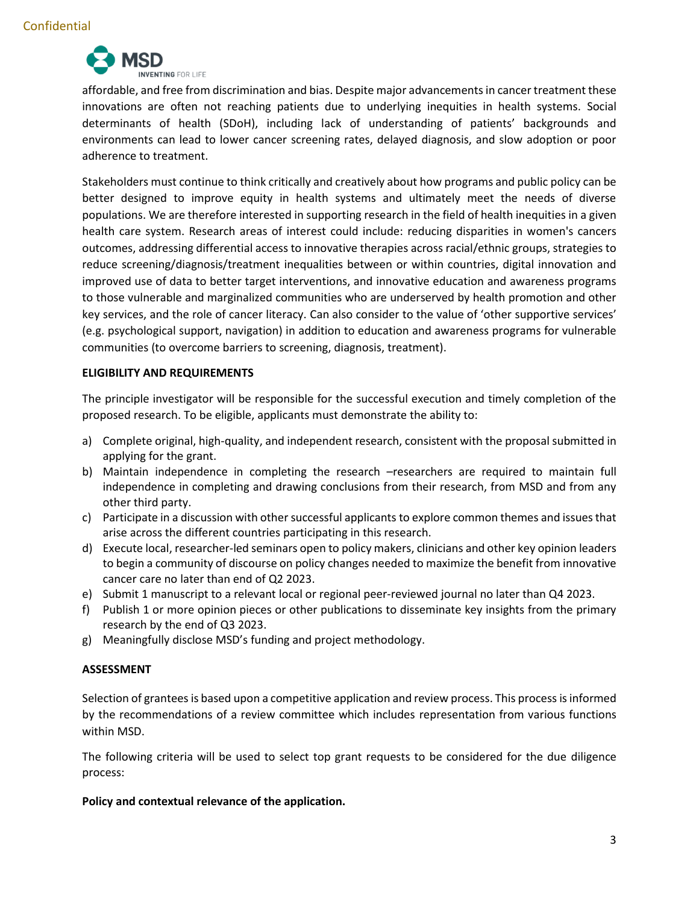

affordable, and free from discrimination and bias. Despite major advancements in cancer treatment these innovations are often not reaching patients due to underlying inequities in health systems. Social determinants of health (SDoH), including lack of understanding of patients' backgrounds and environments can lead to lower cancer screening rates, delayed diagnosis, and slow adoption or poor adherence to treatment.

Stakeholders must continue to think critically and creatively about how programs and public policy can be better designed to improve equity in health systems and ultimately meet the needs of diverse populations. We are therefore interested in supporting research in the field of health inequities in a given health care system. Research areas of interest could include: reducing disparities in women's cancers outcomes, addressing differential access to innovative therapies across racial/ethnic groups, strategies to reduce screening/diagnosis/treatment inequalities between or within countries, digital innovation and improved use of data to better target interventions, and innovative education and awareness programs to those vulnerable and marginalized communities who are underserved by health promotion and other key services, and the role of cancer literacy. Can also consider to the value of 'other supportive services' (e.g. psychological support, navigation) in addition to education and awareness programs for vulnerable communities (to overcome barriers to screening, diagnosis, treatment).

## **ELIGIBILITY AND REQUIREMENTS**

The principle investigator will be responsible for the successful execution and timely completion of the proposed research. To be eligible, applicants must demonstrate the ability to:

- a) Complete original, high-quality, and independent research, consistent with the proposal submitted in applying for the grant.
- b) Maintain independence in completing the research –researchers are required to maintain full independence in completing and drawing conclusions from their research, from MSD and from any other third party.
- c) Participate in a discussion with other successful applicants to explore common themes and issues that arise across the different countries participating in this research.
- d) Execute local, researcher-led seminars open to policy makers, clinicians and other key opinion leaders to begin a community of discourse on policy changes needed to maximize the benefit from innovative cancer care no later than end of Q2 2023.
- e) Submit 1 manuscript to a relevant local or regional peer-reviewed journal no later than Q4 2023.
- f) Publish 1 or more opinion pieces or other publications to disseminate key insights from the primary research by the end of Q3 2023.
- g) Meaningfully disclose MSD's funding and project methodology.

#### **ASSESSMENT**

Selection of grantees is based upon a competitive application and review process. This process is informed by the recommendations of a review committee which includes representation from various functions within MSD.

The following criteria will be used to select top grant requests to be considered for the due diligence process:

#### **Policy and contextual relevance of the application.**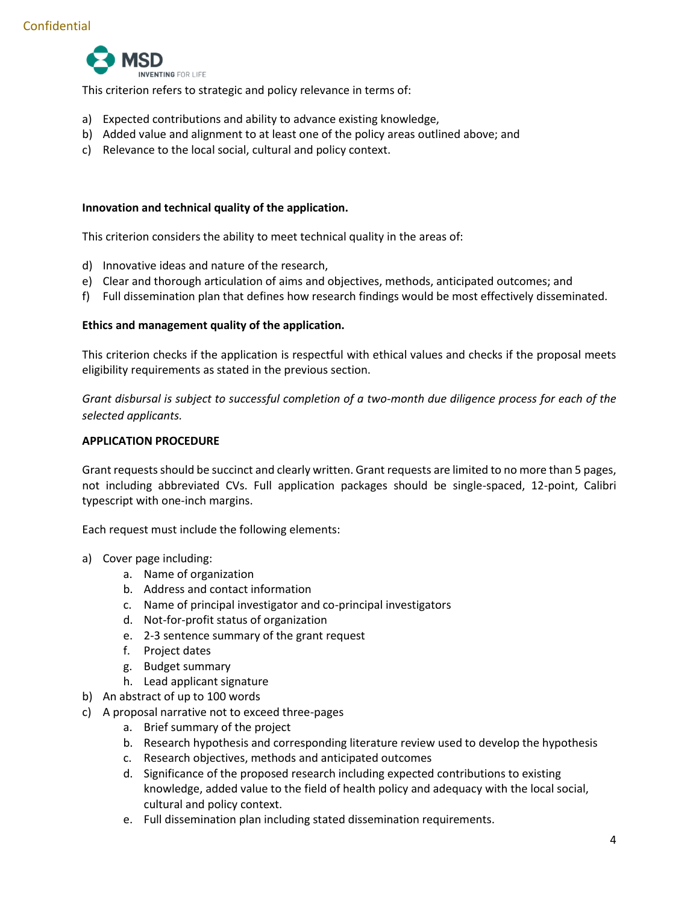

This criterion refers to strategic and policy relevance in terms of:

- a) Expected contributions and ability to advance existing knowledge,
- b) Added value and alignment to at least one of the policy areas outlined above; and
- c) Relevance to the local social, cultural and policy context.

#### **Innovation and technical quality of the application.**

This criterion considers the ability to meet technical quality in the areas of:

- d) Innovative ideas and nature of the research,
- e) Clear and thorough articulation of aims and objectives, methods, anticipated outcomes; and
- f) Full dissemination plan that defines how research findings would be most effectively disseminated.

#### **Ethics and management quality of the application.**

This criterion checks if the application is respectful with ethical values and checks if the proposal meets eligibility requirements as stated in the previous section.

*Grant disbursal is subject to successful completion of a two-month due diligence process for each of the selected applicants.* 

#### **APPLICATION PROCEDURE**

Grant requests should be succinct and clearly written. Grant requests are limited to no more than 5 pages, not including abbreviated CVs. Full application packages should be single-spaced, 12-point, Calibri typescript with one-inch margins.

Each request must include the following elements:

- a) Cover page including:
	- a. Name of organization
	- b. Address and contact information
	- c. Name of principal investigator and co-principal investigators
	- d. Not-for-profit status of organization
	- e. 2-3 sentence summary of the grant request
	- f. Project dates
	- g. Budget summary
	- h. Lead applicant signature
- b) An abstract of up to 100 words
- c) A proposal narrative not to exceed three-pages
	- a. Brief summary of the project
	- b. Research hypothesis and corresponding literature review used to develop the hypothesis
	- c. Research objectives, methods and anticipated outcomes
	- d. Significance of the proposed research including expected contributions to existing knowledge, added value to the field of health policy and adequacy with the local social, cultural and policy context.
	- e. Full dissemination plan including stated dissemination requirements.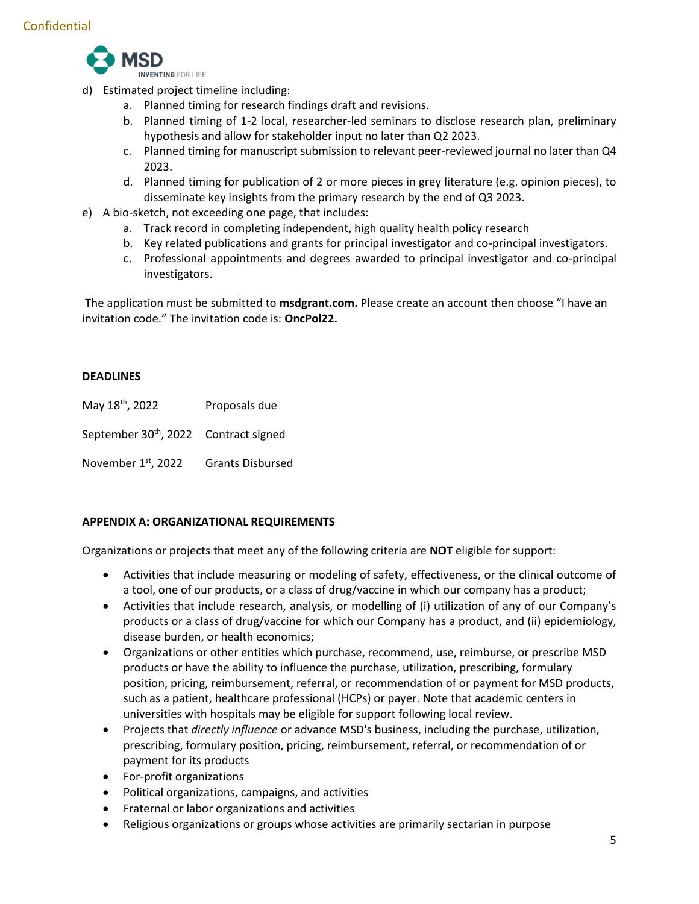

- d) Estimated project timeline including:
	- a. Planned timing for research findings draft and revisions.
	- b. Planned timing of 1-2 local, researcher-led seminars to disclose research plan, preliminary hypothesis and allow for stakeholder input no later than Q2 2023.
	- c. Planned timing for manuscript submission to relevant peer-reviewed journal no later than Q4 2023.
	- d. Planned timing for publication of 2 or more pieces in grey literature (e.g. opinion pieces), to disseminate key insights from the primary research by the end of Q3 2023.
- e) A bio-sketch, not exceeding one page, that includes:
	- a. Track record in completing independent, high quality health policy research
	- b. Key related publications and grants for principal investigator and co-principal investigators.
	- c. Professional appointments and degrees awarded to principal investigator and co-principal investigators.

The application must be submitted to **msdgrant.com.** Please create an account then choose "I have an invitation code." The invitation code is: **OncPol22.**

## **DEADLINES**

May 18<sup>th</sup>, 2022 Proposals due

September 30<sup>th</sup>, 2022 Contract signed

November 1<sup>st</sup>, 2022 **Grants Disbursed** 

## **APPENDIX A: ORGANIZATIONAL REQUIREMENTS**

Organizations or projects that meet any of the following criteria are **NOT** eligible for support:

- Activities that include measuring or modeling of safety, effectiveness, or the clinical outcome of a tool, one of our products, or a class of drug/vaccine in which our company has a product;
- Activities that include research, analysis, or modelling of (i) utilization of any of our Company's products or a class of drug/vaccine for which our Company has a product, and (ii) epidemiology, disease burden, or health economics;
- Organizations or other entities which purchase, recommend, use, reimburse, or prescribe MSD products or have the ability to influence the purchase, utilization, prescribing, formulary position, pricing, reimbursement, referral, or recommendation of or payment for MSD products, such as a patient, healthcare professional (HCPs) or payer. Note that academic centers in universities with hospitals may be eligible for support following local review.
- Projects that *directly influence* or advance MSD's business, including the purchase, utilization, prescribing, formulary position, pricing, reimbursement, referral, or recommendation of or payment for its products
- For-profit organizations
- Political organizations, campaigns, and activities
- Fraternal or labor organizations and activities
- Religious organizations or groups whose activities are primarily sectarian in purpose